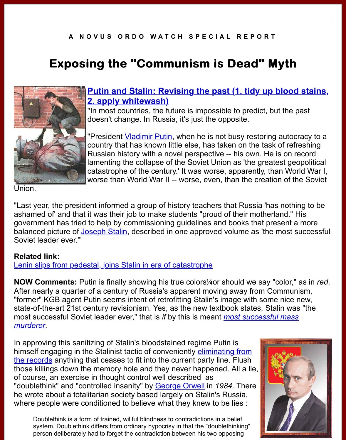# **Exposing Exposing the "Communism is Dead" Myth "Communism is Dead" Myth**



## **Putin and Stalin: Revising the past (1. tidy up bloo 2. apply whitewash)**

"In most countries, the future is impossible to predict, but the doesn't change. In Russia, it's just the opposite.

"President Vladimir Putin, when he is not busy restoring auto country that has known little else, has taken on the task of refreshing Russian history with a novel perspective -- his own. He is on lamenting the collapse of the Soviet Union as 'the greatest go catastrophe of the century.' It was worse, apparently, than World War I, than War I, than War I, the War I, than worse than World War II -- worse, even, than the creation of the

Union.

"Last year, the president informed a group of history teachers that Russia 'has noth ashamed of' and that it was their job to make students "proud of their motherland." government has tried to help by commissioning guidelines and books that present balanced picture of Joseph Stalin, described in one approved volume as 'the most Soviet leader ever.'"

## **Related link:**

Lenin slips from pedestal, joins Stalin in era of catastrophe

**NOW Comments:** Putin is finally showing his true colors<sup>1</sup>/40r should we say "color, After nearly a quart[er of a century](http://en.wikipedia.org/wiki/Stalin) of Russia's apparent moving away from Communism. "former" KGB agent Putin seems intent of retrofitting Stalin's image with some nice state-of-the-art 21st century revisionism. Yes, as the new textbook states, Stalin was most successful Soviet leader ever," that is *if* by this is meant *most successful mass [murderer](http://www.bloomberg.com/apps/news?pid=20601109&sid=aiB3Zuw9i0eo&refer=muse)*.

In approving this sanitizing of Stalin's bloodstained regime Putin is himself engaging in the Stalinist tactic of conveniently eliminating from the records anything that ceases to fit into the current party line. Flush those killings down the memory hole and they never happened. All a lie, [of course, an exercise in thought control well described as](http://freedomspeace.blogspot.com/2005/04/how-many-did-stalin-really-murder.html) "doubl[eth](http://freedomspeace.blogspot.com/2005/04/how-many-did-stalin-really-murder.html)ink" and "controlled insanity" by George Orwell in *1984*. There he wrote about a totalitarian society based largely on Stalin's Russia, where people were conditioned to believe what they knew to be lies :

[Doublethink is a form of trained, willful blindness to contradictions in a belief](http://www.newseum.org/berlinwall/commissar_vanishes/) system. Doublethink differs from ordinary hypocrisy in that the "doublethinking" person deliberately had to forget the contradiction between his two opposing

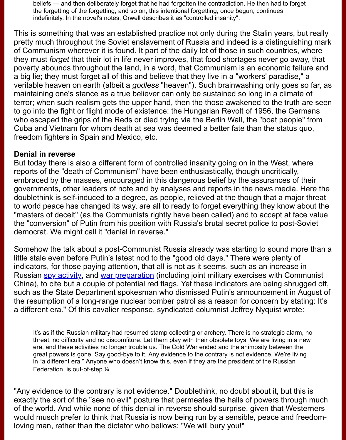they must *forget* that their lot in life never improves, that food shortages never go away, that poverty abounds throughout the land, in a word, that Communism is an economic failure a big lie; they must forget all of this and believe that they live in a "workers' paradis veritable heaven on earth (albeit a *godless* "heaven"). Such brainwashing only goe maintaining one's stance as a true believer can only be sustained so long in a climate terror; when such realism gets the upper hand, then the those awakened to the tru to go into the fight or flight mode of existence: the Hungarian Revolt of 1956, the G who escaped the grips of the Reds or died trying via the Berlin Wall, the "boat peop Cuba and Vietnam for whom death at sea was deemed a better fate than the status freedom fighters in Spain and Mexico, etc.

#### **Denial in reverse**

But today there is also a different form of controlled insanity going on in the West, where reports of the "death of Communism" have been enthusiastically, though uncriticall embraced by the masses, encouraged in this dangerous belief by the assurances of governments, other leaders of note and by analyses and reports in the news media doublethink is self-induced to a degree, as people, relieved at the though that a ma to world peace has changed its way, are all to ready to forget everything they know "masters of deceit" (as the Communists rightly have been called) and to accept at f the "conversion" of Putin from his position with Russia's brutal secret police to post democrat. We might call it "denial in reverse."

Somehow the talk about a post-Communist Russia already was starting to sound no little stale even before Putin's latest nod to the "good old days." There were plenty indicators, for those paying attention, that all is not as it seems, such as an increas Russian spy activity, and war preparation (including joint military exercises with Co China), to cite but a couple of potential red flags. Yet these indicators are being shr such as the State Department spokesman who dismissed Putin's announcement in the resumption of a long-range nuclear bomber patrol as a reason for concern by stating: It's a different era." Of this cavalier response, syndicated columnist Jeffrey Nyquist wro

It's [as if the Russi](http://www.freerepublic.com/focus/f-news/1331878/posts)an mili[tary had resumed st](http://www.financialsense.com/stormwatch/geo/pastanalysis/2007/0824.html)amp collecting or archery. There is no strategic ala threat, no difficulty and no discomfiture. Let them play with their obsolete toys. We are living in era, and these activities no longer trouble us. The Cold War ended and the animosity between great powers is gone. Say good-bye to it. Any evidence to the contrary is not evidence. We're I in "a different era." Anyone who doesn't know this, even if they are the president of the Russian Federation, is out-of-step.¼

"Any evidence to the contrary is not evidence." Doublethink, no doubt about it, but exactly the sort of the "see no evil" posture that permeates the halls of powers thro of the world. And while none of this denial in reverse should surprise, given that We would musch prefer to think that Russia is now being run by a sensible, peace and loving man, rather than the dictator who bellows: "We will bury you!"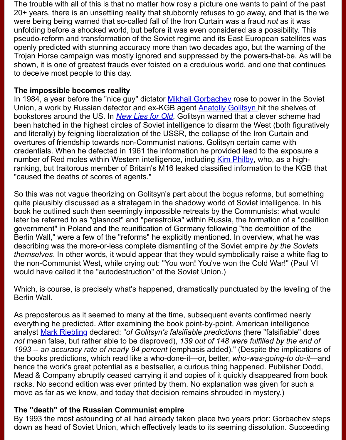shown, it is one of greatest frauds ever foisted on a credulous world, and one that to deceive most people to this day.

#### **The impossible becomes reality**

In 1984, a year before the "nice guy" dictator Mikhail Gorbachev rose to power in the Union, a work by Russian defector and ex-KGB agent **Anatoliy Golitsyn** hit the she bookstores around the US. In *New Lies for Old*, Golitsyn warned that a clever sche been hatched in the highest circles of Soviet intelligence to disarm the West (both for and literally) by feigning liberalization of the USSR, the collapse of the Iron Curtain overtures of friendship towards non-Communist nations. Golitsyn certain came with credentials. When he defected in 1961 the information he provided lead to the exposited number of Red moles within Western intellig[ence, including Kim](http://en.wikipedia.org/wiki/Mikhail_Gorbachev) Philby, who, as a l ranking, but traitorous member of Britain's M16 leaked [classified informa](http://en.wikipedia.org/wiki/Anatoliy_Golitsyn)tion to the "caused the deaths of scores [of agents."](http://fatimashoppe.org/item.asp?PID=86)

So this was not vague theorizing on Golitsyn's part about the bogus reforms, but something quite plausibly discussed as a stratagem in the shadowy world of Soviet intelligenc book he outlined such then seemingly impossible retreats by the Communists: what later be referred to as "glasnost" and "perestroika" within R[ussia, the fo](http://en.wikipedia.org/wiki/Kim_Philby)rmation of a government" in Poland and the reunification of Germany following "the demolition of Berlin Wall," were a few of the "reforms" he explicitly mentioned. In overview, what describing was the more-or-less complete dismantling of the Soviet empire by the *themselves*. In other words, it would appear that they would symbolically raise a wl the non-Communist West, while crying out: "You won! You've won the Cold War!" ( would have called it the "autodestruction" of the Soviet Union.)

Which, is course, is precisely what's happened, dramatically punctuated by the level Berlin Wall.

As preposterous as it seemed to many at the time, subsequent events confirmed nearly everything he predicted. After examining the book point-by-point, American intellige analyst Mark Riebling declared: "*of Golitsyn's falsifiable predictions* (here "falsifiabl *not* mean false, but rather able to be disproved), 139 out of 148 were fulfilled by the *1993 -- an accuracy rate of nearly 94 percent* (emphasis added)." (Despite the imp the books predictions, which read like a who-done-it—or, better, *who-was-going-to* hence the work's great potential as a bestseller, a curious thing happened. Publish Mead & Company abruptly ceased carrying it and copies of it quickly disappeared racks. No second edition was ever printed by them. No explanation was given for s move a[s far as we kno](http://www.markriebling.com/predictions.html)w, and today that decision remains shrouded in mystery.)

### **The "death" of the Russian Communist empire**

By 1993 the most astounding of all had already taken place two years prior: Gorba down as head of Soviet Union, which effectively leads to its seeming dissolution. S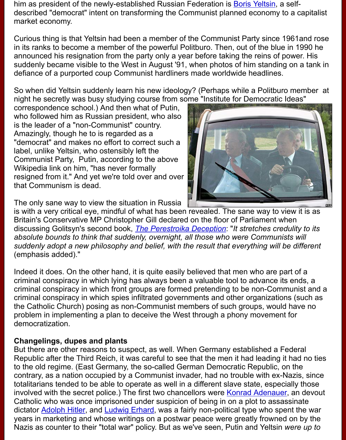suddenly became visible to the West in August '91, when photos [of him stand](http://en.wikipedia.org/wiki/Boris_Yeltsin)ing o defiance of a purported coup Communist hardliners made worldwide headlines.

So when did Yeltsin suddenly learn his new ideology? (Perhaps while a Politburo n night he secretly was busy studying course from some "Institute for Democratic Ide

correspondence school.) And then what of Putin, who followed him as Russian president, who also is the leader of a "non-Communist" country. Amazingly, though he to is regarded as a "democrat" and makes no effort to correct such a label, unlike Yeltsin, who ostensibly left the Communist Party, Putin, according to the above Wikipedia link on him, "has never formally resigned from it." And yet we're told over and over that Communism is dead.



The only sane way to view the situation in Russia

is with a very critical eye, mindful of what has been revealed. The sane way to view Britain's Conservative MP Christopher Gill declared on the floor of Parliament when discussing Golitsyn's second book, *The Perestroika Deception*: "It stretches credul absolute bounds to think that suddenly, overnight, all those who were Communists suddenly adopt a new philosophy and belief, with the result that everything will be (emphasis added)."

Indeed it does. On the other hand, it is quite easily believed that men who are part criminal conspiracy in which lying has always been a valuable tool to advance its e criminal conspiracy in which front g[roups are formed pretending](http://fatimashoppe.org/item.asp?PID=70) to be non-Communist and and and and are and an criminal conspiracy in which spies infiltrated governments and other organizations the Catholic Church) posing as non-Communist members of such groups, would have problem in implementing a plan to deceive the West through a phony movement for democratization.

### **Changelings, dupes and plants**

But there are other reasons to suspect, as well. When Germany established a Fed Republic after the Third Reich, it was careful to see that the men it had leading it had to the old regime. (East Germany, the so-called German Democratic Republic, on the contrary, as a nation occupied by a Communist invader, had no trouble with ex-Naz totalitarians tended to be able to operate as well in a different slave state, especiall involved with the secret police.) The first two chancellors were **Konrad Adenauer**, a Catholic who was once imprisoned under suspicion of being in on a plot to assassi dictator Adolph Hitler, and Ludwig Erhard, was a fairly non-political type who spent years in marketing and whose writings on a postwar peace were greatly frowned on Nazis as counter to their "total war" policy. But as we've seen, Putin and Yeltsin we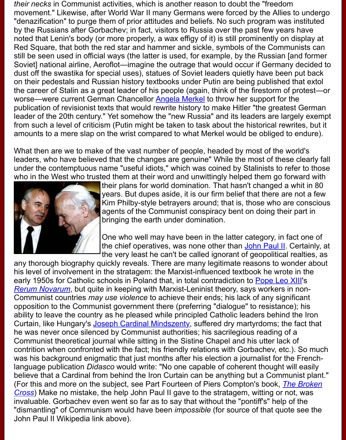Soviet] national airline, Aeroflot—imagine the outrage that would occur if Germany dust off the swastika for special uses), statues of Soviet leaders quietly have been on their pedestals and Russian history textbooks under Putin are being published to the career of Stalin as a great leader of his people (again, think of the firestorm of protestion worse—were current German Chancellor Angela Merkel to throw her support for the publication of revisionist texts that would rewrite history to make Hitler "the greates leader of the 20th century." Yet somehow the "new Russia" and its leaders are larg from such a level of criticism (Putin might be taken to task about the historical rewr amounts to a mere slap on the wrist compared to what Merkel would be obliged to

What then are we to make of the vast number of people, headed by most of the world leaders, who have believed that the chan[ges are genuine](http://en.wikipedia.org/wiki/Angela_Merkel)" While the most of these under the contemptuous name "useful idiots," which was coined by Stalinists to ref who in the West who trusted them at their word and unwittingly helped them go for



their plans for world domination. That hasn't changed a v years. But dupes aside, it is our firm belief that there are Kim Philby-style betrayers around; that is, those who are agents of the Communist conspiracy bent on doing their bringing the earth under domination.

One who well may have been in the latter category, in fact the chief operatives, was none other than John Paul II. C the very least he can't be called ignorant of geopolitical realties.

any thorough biography quickly reveals. There are many legitimate reasons to wor his level of involvement in the stratagem: the Marxist-influenced textbook he wrote early 1950s for Catholic schools in Poland that, in total contradiction to Pope Leo X *Rerum Novarum*, but quite in keeping with Marxist-Leninist theory, says workers in Communist countries *may use violence* to achieve their ends; his lack of any signif opposition to the Communist government there (preferring "dialogu[e" to resistan](http://en.wikipedia.org/wiki/John_Paul_II)ce ability to leave the country as he pleased while principled Catholic leaders behind t Curtain, like Hungary's Joseph Cardinal Mindszenty, suffered dry martyrdoms; the he was never once silenced by Communist authorities; his sacrilegious reading of a Communist theoretical journal while sitting in the Sistine Chapel and hi[s utter lack of](http://www.newadvent.org/cathen/09169a.htm) [contrition when c](http://www.papalencyclicals.net/Leo13/l13rerum.htm)onfronted with the fact; his friendly relations with Gorbachev, etc.) was his background enigmatic that just months after his election a journalist for the language publication *Didasco* would write: "No one capable of coherent thought wi believe that a Cardinal from behind the Iron Curtain can be anything but a Commun (For this and more on t[he subject, see Part Fourteen](http://www.mindszenty.org/misc/jcm.html) of Piers Compton's book, *The Cross*) Make no mistake, the help John Paul II gave to the stratagem, witting or not invaluable. Gorbachev even went so far as to say that without the "pontiff's" help of "dismantling" of Communism would have been *impossible* (for source of that quote John Paul II Wikipedia link above).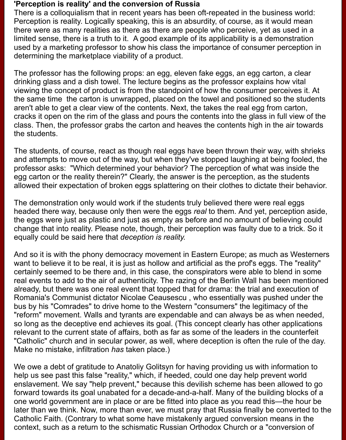#### **'Perception is reality' and the conversion of Russia**

There is a colloquialism that in recent years has been oft-repeated in the business world: Perception is reality. Logically speaking, this is an absurdity, of course, as it would mean there were as many realities as there as there are people who perceive, yet as used in a limited sense, there is a truth to it. A good example of its applicability is a demonstration used by a marketing professor to show his class the importance of consumer perception in determining the marketplace viability of a product.

The professor has the following props: an egg, eleven fake eggs, an egg carton, a clear drinking glass and a dish towel. The lecture begins as the professor explains how vital viewing the concept of product is from the standpoint of how the consumer perceives it. At the same time the carton is unwrapped, placed on the towel and positioned so the students aren't able to get a clear view of the contents. Next, the takes the real egg from carton, cracks it open on the rim of the glass and pours the contents into the glass in full view of the class. Then, the professor grabs the carton and heaves the contents high in the air towards the students.

The students, of course, react as though real eggs have been thrown their way, with shrieks and attempts to move out of the way, but when they've stopped laughing at being fooled, the professor asks: "Which determined your behavior? The perception of what was inside the egg carton or the reality therein?" Clearly, the answer is the perception, as the students allowed their expectation of broken eggs splattering on their clothes to dictate their behavior.

The demonstration only would work if the students truly believed there were real eggs headed there way, because only then were the eggs *real* to them. And yet, perception aside, the eggs were just as plastic and just as empty as before and no amount of believing could change that into reality. Please note, though, their perception was faulty due to a trick. So it equally could be said here that *deception is reality.*

And so it is with the phony democracy movement in Eastern Europe; as much as Westerners want to believe it to be real, it is just as hollow and artificial as the prof's eggs. The "reality" certainly seemed to be there and, in this case, the conspirators were able to blend in some real events to add to the air of authenticity. The razing of the Berlin Wall has been mentioned already, but there was one real event that topped that for drama: the trial and execution of Romania's Communist dictator Nicolae Ceausescu , who essentially was pushed under the bus by his "Comrades" to drive home to the Western "consumers" the legitimacy of the "reform" movement. Walls and tyrants are expendable and can always be as when needed, so long as the deceptive end achieves its goal. (This concept clearly has other applications relevant to the current state of affairs, both as far as some of the leaders in the counterfeit "Catholic" church and in secular power, as well, where deception is often the rule of the day. Make no mistake, infiltration *has* taken place.)

We owe a debt of gratitude to Anatoliy Golitsyn for having providing us with information to help us see past this false "reality," which, if heeded, could one day help prevent world enslavement. We say "help prevent," because this devilish scheme has been allowed to go forward towards its goal unabated for a decade-and-a-half. Many of the building blocks of a one world government are in place or are be fitted into place as you read this—the hour be later than we think. Now, more than ever, we must pray that Russia finally be converted to the Catholic Faith. (Contrary to what some have mistakenly argued conversion means in the context, such as a return to the schismatic Russian Orthodox Church or a "conversion of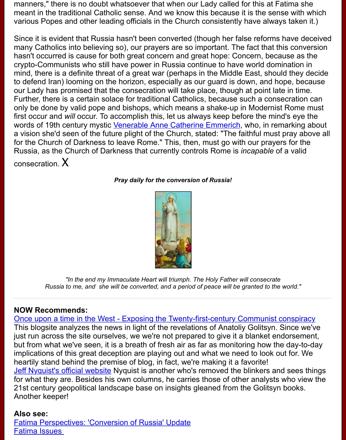crypto-Communists who still have power in Russia continue to have world dominat mind, there is a definite threat of a great war (perhaps in the Middle East, should the to defend Iran) looming on the horizon, especially as our guard is down, and hope, our Lady has promised that the consecration will take place, though at point late in Further, there is a certain solace for traditional Catholics, because such a consecration can only be done by valid pope and bishops, which means a shake-up in Modernist Rome must be must be must first occur and *will* occur. To accomplish this, let us always keep before the mind's o words of 19th century mystic Venerable Anne Catherine Emmerich, who, in remark a vision she'd seen of the future plight of the Church, stated: "The faithful must pray for the Church of Darkness to leave Rome." This, then, must go with our prayers for Russia, as the Church of Darkness that currently controls Rome is *incapable* of a v consecration. X

*[Pray daily for the conversion of Russia!](http://www.newadvent.org/cathen/05406b.htm)*



*"In the end my Immaculate Heart will triumph. The Holy Father will consecrate Russia to me, and she will be converted, and a period of peace will be granted to the worl* 

### **NOW Recommends:**

Once upon a time in the West - Exposing the Twenty-first-century Communist cons This blogsite analyzes the news in light of the revelations of Anatoliy Golitsyn. Sinc just run across the site ourselves, we we're not prepared to give it a blanket endors but from what we've seen, it is a breath of fresh air as far as monitoring how the da implications of this great deception are playing out and what we need to look out for. heartily stand behind the premise of blog, in fact, we're making it a favorite! Jeff Nyquist's official website Nyquist is another who's removed the blinkers and se for what they are. Besides his own columns, he carries those of other analysts who 21st century geopolitical landscape base on insights gleaned from the Golitsyn book Another keeper!

### **Also see:**

Fatima Perspectives: 'Conversion of Russia' Update [Fatima Issues](http://www.jrnyquist.com/)